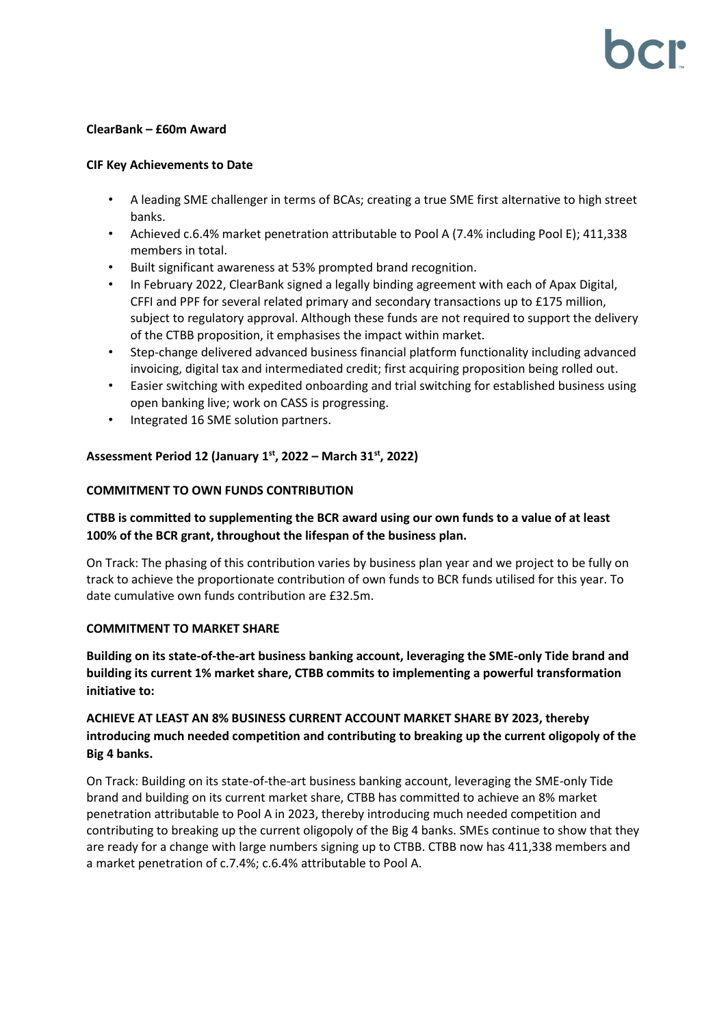#### **ClearBank – £60m Award**

#### **CIF Key Achievements to Date**

- A leading SME challenger in terms of BCAs; creating a true SME first alternative to high street banks.
- Achieved c.6.4% market penetration attributable to Pool A (7.4% including Pool E); 411,338 members in total.
- Built significant awareness at 53% prompted brand recognition.
- In February 2022, ClearBank signed a legally binding agreement with each of Apax Digital, CFFI and PPF for several related primary and secondary transactions up to £175 million, subject to regulatory approval. Although these funds are not required to support the delivery of the CTBB proposition, it emphasises the impact within market.
- Step-change delivered advanced business financial platform functionality including advanced invoicing, digital tax and intermediated credit; first acquiring proposition being rolled out.
- Easier switching with expedited onboarding and trial switching for established business using open banking live; work on CASS is progressing.
- Integrated 16 SME solution partners.

## **Assessment Period 12 (January 1 st, 2022 – March 31st, 2022)**

### **COMMITMENT TO OWN FUNDS CONTRIBUTION**

# **CTBB is committed to supplementing the BCR award using our own funds to a value of at least 100% of the BCR grant, throughout the lifespan of the business plan.**

On Track: The phasing of this contribution varies by business plan year and we project to be fully on track to achieve the proportionate contribution of own funds to BCR funds utilised for this year. To date cumulative own funds contribution are £32.5m.

### **COMMITMENT TO MARKET SHARE**

**Building on its state-of-the-art business banking account, leveraging the SME-only Tide brand and building its current 1% market share, CTBB commits to implementing a powerful transformation initiative to:**

# **ACHIEVE AT LEAST AN 8% BUSINESS CURRENT ACCOUNT MARKET SHARE BY 2023, thereby introducing much needed competition and contributing to breaking up the current oligopoly of the Big 4 banks.**

On Track: Building on its state-of-the-art business banking account, leveraging the SME-only Tide brand and building on its current market share, CTBB has committed to achieve an 8% market penetration attributable to Pool A in 2023, thereby introducing much needed competition and contributing to breaking up the current oligopoly of the Big 4 banks. SMEs continue to show that they are ready for a change with large numbers signing up to CTBB. CTBB now has 411,338 members and a market penetration of c.7.4%; c.6.4% attributable to Pool A.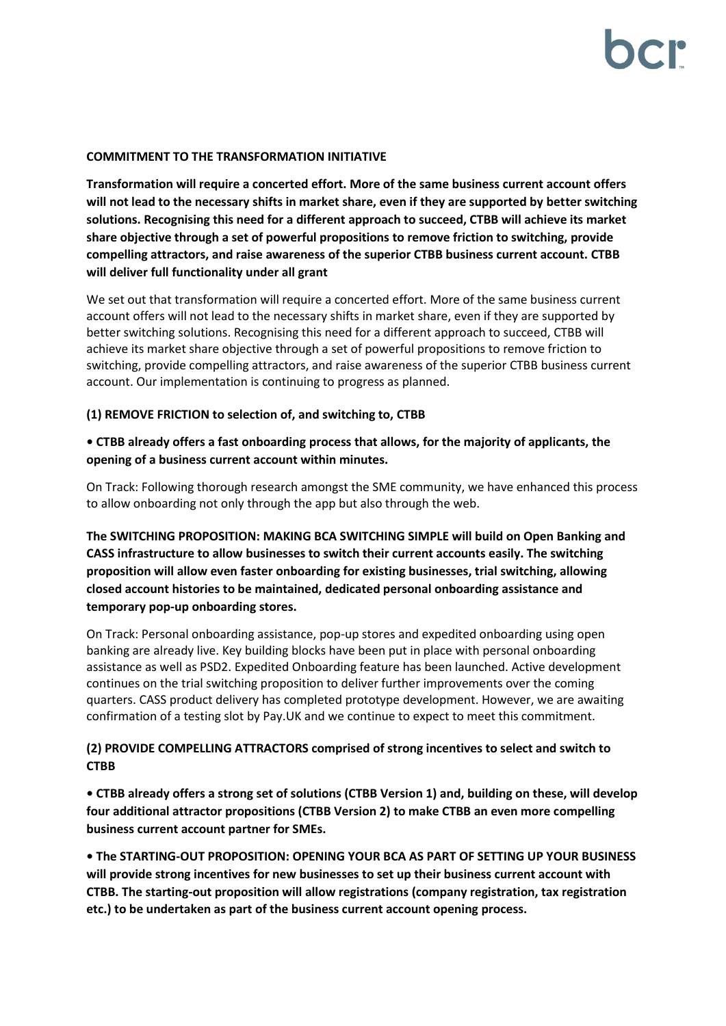#### **COMMITMENT TO THE TRANSFORMATION INITIATIVE**

**Transformation will require a concerted effort. More of the same business current account offers will not lead to the necessary shifts in market share, even if they are supported by better switching solutions. Recognising this need for a different approach to succeed, CTBB will achieve its market share objective through a set of powerful propositions to remove friction to switching, provide compelling attractors, and raise awareness of the superior CTBB business current account. CTBB will deliver full functionality under all grant**

We set out that transformation will require a concerted effort. More of the same business current account offers will not lead to the necessary shifts in market share, even if they are supported by better switching solutions. Recognising this need for a different approach to succeed, CTBB will achieve its market share objective through a set of powerful propositions to remove friction to switching, provide compelling attractors, and raise awareness of the superior CTBB business current account. Our implementation is continuing to progress as planned.

### **(1) REMOVE FRICTION to selection of, and switching to, CTBB**

# **• CTBB already offers a fast onboarding process that allows, for the majority of applicants, the opening of a business current account within minutes.**

On Track: Following thorough research amongst the SME community, we have enhanced this process to allow onboarding not only through the app but also through the web.

**The SWITCHING PROPOSITION: MAKING BCA SWITCHING SIMPLE will build on Open Banking and CASS infrastructure to allow businesses to switch their current accounts easily. The switching proposition will allow even faster onboarding for existing businesses, trial switching, allowing closed account histories to be maintained, dedicated personal onboarding assistance and temporary pop-up onboarding stores.**

On Track: Personal onboarding assistance, pop-up stores and expedited onboarding using open banking are already live. Key building blocks have been put in place with personal onboarding assistance as well as PSD2. Expedited Onboarding feature has been launched. Active development continues on the trial switching proposition to deliver further improvements over the coming quarters. CASS product delivery has completed prototype development. However, we are awaiting confirmation of a testing slot by Pay.UK and we continue to expect to meet this commitment.

# **(2) PROVIDE COMPELLING ATTRACTORS comprised of strong incentives to select and switch to CTBB**

**• CTBB already offers a strong set of solutions (CTBB Version 1) and, building on these, will develop four additional attractor propositions (CTBB Version 2) to make CTBB an even more compelling business current account partner for SMEs.**

**• The STARTING-OUT PROPOSITION: OPENING YOUR BCA AS PART OF SETTING UP YOUR BUSINESS will provide strong incentives for new businesses to set up their business current account with CTBB. The starting-out proposition will allow registrations (company registration, tax registration etc.) to be undertaken as part of the business current account opening process.**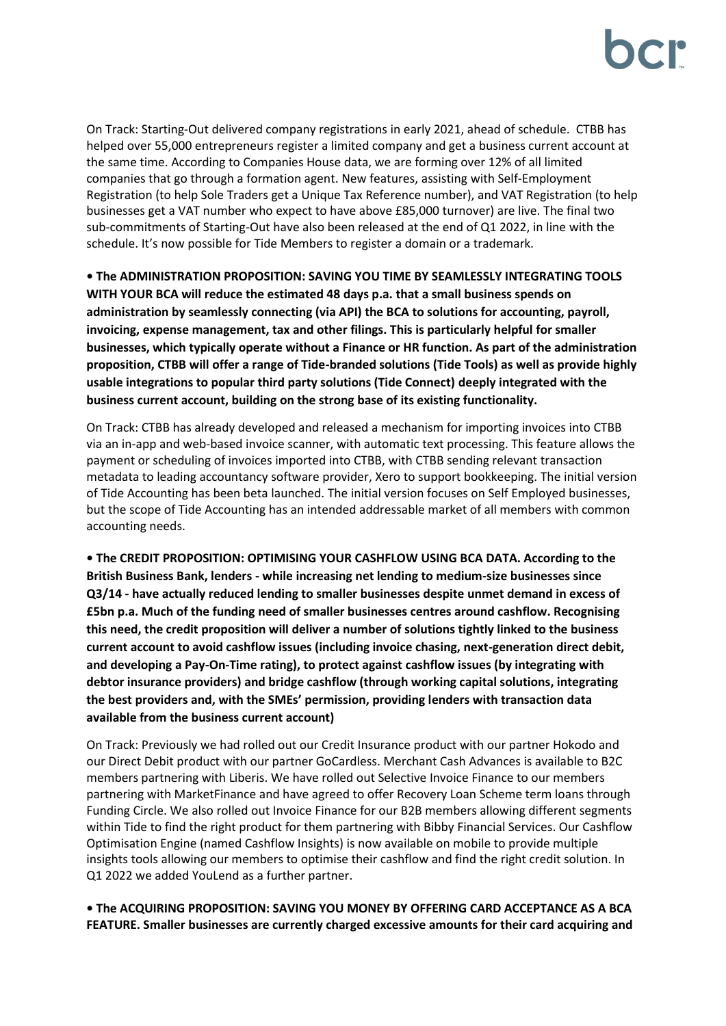On Track: Starting-Out delivered company registrations in early 2021, ahead of schedule. CTBB has helped over 55,000 entrepreneurs register a limited company and get a business current account at the same time. According to Companies House data, we are forming over 12% of all limited companies that go through a formation agent. New features, assisting with Self-Employment Registration (to help Sole Traders get a Unique Tax Reference number), and VAT Registration (to help businesses get a VAT number who expect to have above £85,000 turnover) are live. The final two sub-commitments of Starting-Out have also been released at the end of Q1 2022, in line with the schedule. It's now possible for Tide Members to register a domain or a trademark.

**• The ADMINISTRATION PROPOSITION: SAVING YOU TIME BY SEAMLESSLY INTEGRATING TOOLS WITH YOUR BCA will reduce the estimated 48 days p.a. that a small business spends on administration by seamlessly connecting (via API) the BCA to solutions for accounting, payroll, invoicing, expense management, tax and other filings. This is particularly helpful for smaller businesses, which typically operate without a Finance or HR function. As part of the administration proposition, CTBB will offer a range of Tide-branded solutions (Tide Tools) as well as provide highly usable integrations to popular third party solutions (Tide Connect) deeply integrated with the business current account, building on the strong base of its existing functionality.**

On Track: CTBB has already developed and released a mechanism for importing invoices into CTBB via an in-app and web-based invoice scanner, with automatic text processing. This feature allows the payment or scheduling of invoices imported into CTBB, with CTBB sending relevant transaction metadata to leading accountancy software provider, Xero to support bookkeeping. The initial version of Tide Accounting has been beta launched. The initial version focuses on Self Employed businesses, but the scope of Tide Accounting has an intended addressable market of all members with common accounting needs.

**• The CREDIT PROPOSITION: OPTIMISING YOUR CASHFLOW USING BCA DATA. According to the British Business Bank, lenders - while increasing net lending to medium-size businesses since Q3/14 - have actually reduced lending to smaller businesses despite unmet demand in excess of £5bn p.a. Much of the funding need of smaller businesses centres around cashflow. Recognising this need, the credit proposition will deliver a number of solutions tightly linked to the business current account to avoid cashflow issues (including invoice chasing, next-generation direct debit, and developing a Pay-On-Time rating), to protect against cashflow issues (by integrating with debtor insurance providers) and bridge cashflow (through working capital solutions, integrating the best providers and, with the SMEs' permission, providing lenders with transaction data available from the business current account)**

On Track: Previously we had rolled out our Credit Insurance product with our partner Hokodo and our Direct Debit product with our partner GoCardless. Merchant Cash Advances is available to B2C members partnering with Liberis. We have rolled out Selective Invoice Finance to our members partnering with MarketFinance and have agreed to offer Recovery Loan Scheme term loans through Funding Circle. We also rolled out Invoice Finance for our B2B members allowing different segments within Tide to find the right product for them partnering with Bibby Financial Services. Our Cashflow Optimisation Engine (named Cashflow Insights) is now available on mobile to provide multiple insights tools allowing our members to optimise their cashflow and find the right credit solution. In Q1 2022 we added YouLend as a further partner.

**• The ACQUIRING PROPOSITION: SAVING YOU MONEY BY OFFERING CARD ACCEPTANCE AS A BCA FEATURE. Smaller businesses are currently charged excessive amounts for their card acquiring and**